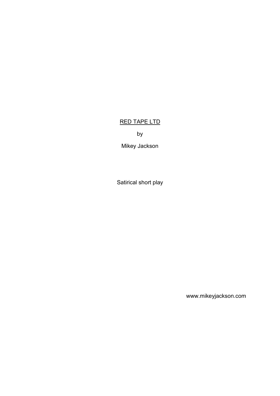# RED TAPE LTD

by

Mikey Jackson

Satirical short play

www.mikeyjackson.com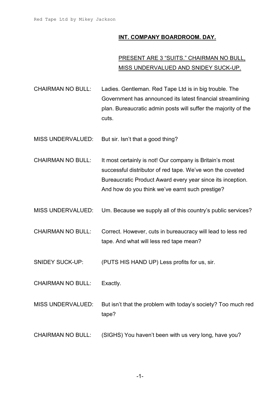### **INT. COMPANY BOARDROOM. DAY.**

# PRESENT ARE 3 "SUITS." CHAIRMAN NO BULL, MISS UNDERVALUED AND SNIDEY SUCK-UP.

- CHAIRMAN NO BULL: Ladies. Gentleman. Red Tape Ltd is in big trouble. The Government has announced its latest financial streamlining plan. Bureaucratic admin posts will suffer the majority of the cuts.
- MISS UNDERVALUED: But sir. Isn't that a good thing?
- CHAIRMAN NO BULL: It most certainly is not! Our company is Britain's most successful distributor of red tape. We've won the coveted Bureaucratic Product Award every year since its inception. And how do you think we've earnt such prestige?
- MISS UNDERVALUED: Um. Because we supply all of this country's public services?
- CHAIRMAN NO BULL: Correct. However, cuts in bureaucracy will lead to less red tape. And what will less red tape mean?
- SNIDEY SUCK-UP: (PUTS HIS HAND UP) Less profits for us, sir.
- CHAIRMAN NO BULL: Exactly.
- MISS UNDERVALUED: But isn't that the problem with today's society? Too much red tape?
- CHAIRMAN NO BULL: (SIGHS) You haven't been with us very long, have you?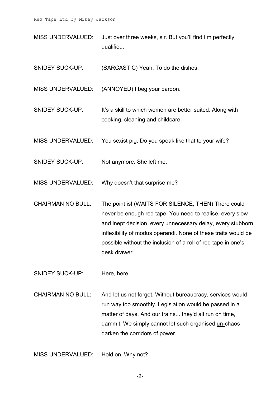MISS UNDERVALUED: Just over three weeks, sir. But you'll find I'm perfectly qualified.

SNIDEY SUCK-UP: (SARCASTIC) Yeah. To do the dishes.

MISS UNDERVALUED: (ANNOYED) I beg your pardon.

SNIDEY SUCK-UP: It's a skill to which women are better suited. Along with cooking, cleaning and childcare.

MISS UNDERVALUED: You sexist pig. Do you speak like that to your wife?

SNIDEY SUCK-UP: Not anymore. She left me.

MISS UNDERVALUED: Why doesn't that surprise me?

CHAIRMAN NO BULL: The point is! (WAITS FOR SILENCE, THEN) There could never be enough red tape. You need to realise, every slow and inept decision, every unnecessary delay, every stubborn inflexibility of modus operandi. None of these traits would be possible without the inclusion of a roll of red tape in one's desk drawer.

SNIDEY SUCK-UP: Here, here.

CHAIRMAN NO BULL: And let us not forget. Without bureaucracy, services would run way too smoothly. Legislation would be passed in a matter of days. And our trains... they'd all run on time, dammit. We simply cannot let such organised un-chaos darken the corridors of power.

MISS UNDERVALUED: Hold on. Why not?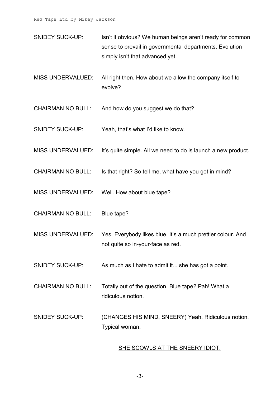- SNIDEY SUCK-UP: Isn't it obvious? We human beings aren't ready for common sense to prevail in governmental departments. Evolution simply isn't that advanced yet.
- MISS UNDERVALUED: All right then. How about we allow the company itself to evolve?
- CHAIRMAN NO BULL: And how do you suggest we do that?
- SNIDEY SUCK-UP: Yeah, that's what I'd like to know.
- MISS UNDERVALUED: It's quite simple. All we need to do is launch a new product.
- CHAIRMAN NO BULL: Is that right? So tell me, what have you got in mind?
- MISS UNDERVALUED: Well. How about blue tape?
- CHAIRMAN NO BULL: Blue tape?
- MISS UNDERVALUED: Yes. Everybody likes blue. It's a much prettier colour. And not quite so in-your-face as red.
- SNIDEY SUCK-UP: As much as I hate to admit it... she has got a point.
- CHAIRMAN NO BULL: Totally out of the question. Blue tape? Pah! What a ridiculous notion.
- SNIDEY SUCK-UP: (CHANGES HIS MIND, SNEERY) Yeah. Ridiculous notion. Typical woman.

### SHE SCOWLS AT THE SNEERY IDIOT.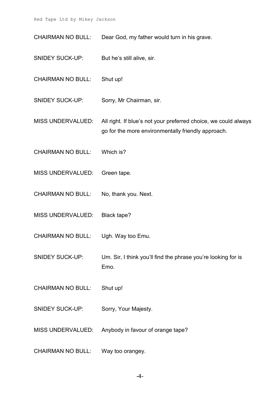CHAIRMAN NO BULL: Dear God, my father would turn in his grave.

- SNIDEY SUCK-UP: But he's still alive, sir.
- CHAIRMAN NO BULL: Shut up!
- SNIDEY SUCK-UP: Sorry, Mr Chairman, sir.
- MISS UNDERVALUED: All right. If blue's not your preferred choice, we could always go for the more environmentally friendly approach.
- CHAIRMAN NO BULL: Which is?
- MISS UNDERVALUED: Green tape.
- CHAIRMAN NO BULL: No, thank you. Next.
- MISS UNDERVALUED: Black tape?
- CHAIRMAN NO BULL: Ugh. Way too Emu.
- SNIDEY SUCK-UP: Um. Sir, I think you'll find the phrase you're looking for is Emo.
- CHAIRMAN NO BULL: Shut up!
- SNIDEY SUCK-UP: Sorry, Your Majesty.
- MISS UNDERVALUED: Anybody in favour of orange tape?
- CHAIRMAN NO BULL: Way too orangey.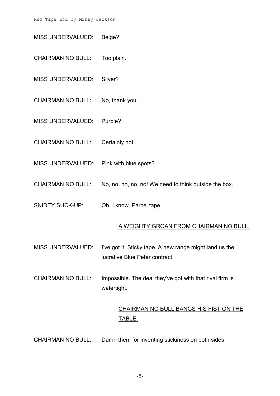MISS UNDERVALUED: Beige?

CHAIRMAN NO BULL: Too plain.

MISS UNDERVALUED: Silver?

CHAIRMAN NO BULL: No, thank you.

MISS UNDERVALUED: Purple?

CHAIRMAN NO BULL: Certainly not.

- MISS UNDERVALUED: Pink with blue spots?
- CHAIRMAN NO BULL: No, no, no, no, no! We need to think outside the box.
- SNIDEY SUCK-UP: Oh, I know. Parcel tape.

#### A WEIGHTY GROAN FROM CHAIRMAN NO BULL.

- MISS UNDERVALUED: I've got it. Sticky tape. A new range might land us the lucrative Blue Peter contract.
- CHAIRMAN NO BULL: Impossible. The deal they've got with that rival firm is watertight.

# CHAIRMAN NO BULL BANGS HIS FIST ON THE TABLE.

CHAIRMAN NO BULL: Damn them for inventing stickiness on both sides.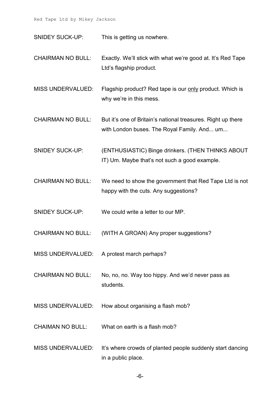SNIDEY SUCK-UP: This is getting us nowhere.

- CHAIRMAN NO BULL: Exactly. We'll stick with what we're good at. It's Red Tape Ltd's flagship product.
- MISS UNDERVALUED: Flagship product? Red tape is our only product. Which is why we're in this mess.
- CHAIRMAN NO BULL: But it's one of Britain's national treasures. Right up there with London buses. The Royal Family. And... um...
- SNIDEY SUCK-UP: (ENTHUSIASTIC) Binge drinkers. (THEN THINKS ABOUT IT) Um. Maybe that's not such a good example.
- CHAIRMAN NO BULL: We need to show the government that Red Tape Ltd is not happy with the cuts. Any suggestions?
- SNIDEY SUCK-UP: We could write a letter to our MP.
- CHAIRMAN NO BULL: (WITH A GROAN) Any proper suggestions?
- MISS UNDERVALUED: A protest march perhaps?
- CHAIRMAN NO BULL: No, no, no. Way too hippy. And we'd never pass as students.
- MISS UNDERVALUED: How about organising a flash mob?
- CHAIMAN NO BULL: What on earth is a flash mob?
- MISS UNDERVALUED: It's where crowds of planted people suddenly start dancing in a public place.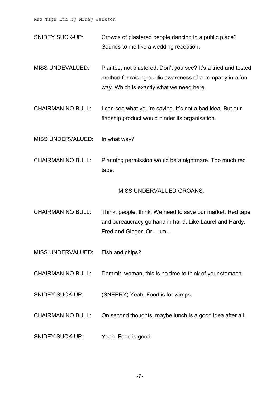- SNIDEY SUCK-UP: Crowds of plastered people dancing in a public place? Sounds to me like a wedding reception.
- MISS UNDEVALUED: Planted, not plastered. Don't you see? It's a tried and tested method for raising public awareness of a company in a fun way. Which is exactly what we need here.
- CHAIRMAN NO BULL: I can see what you're saying. It's not a bad idea. But our flagship product would hinder its organisation.
- MISS UNDERVALUED: In what way?
- CHAIRMAN NO BULL: Planning permission would be a nightmare. Too much red tape.

#### MISS UNDERVALUED GROANS.

- CHAIRMAN NO BULL: Think, people, think. We need to save our market. Red tape and bureaucracy go hand in hand. Like Laurel and Hardy. Fred and Ginger. Or... um...
- MISS UNDERVALUED: Fish and chips?
- CHAIRMAN NO BULL: Dammit, woman, this is no time to think of your stomach.
- SNIDEY SUCK-UP: (SNEERY) Yeah. Food is for wimps.
- CHAIRMAN NO BULL: On second thoughts, maybe lunch is a good idea after all.
- SNIDEY SUCK-UP: Yeah. Food is good.